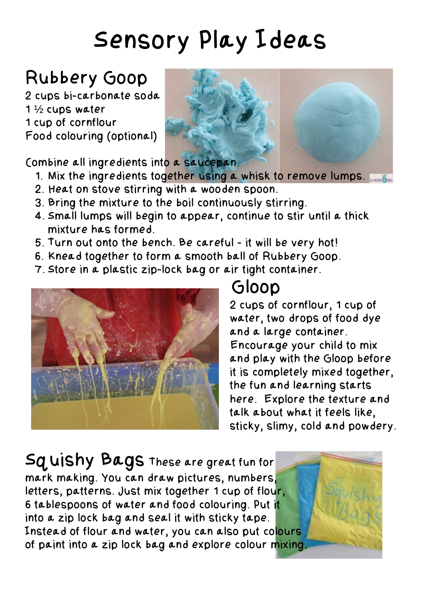# Sensory Play Ideas

#### Rubbery Goop

2 cups bi-carbonate soda 1 ½ cups water 1 cup of cornflour Food colouring (optional)



Combine all ingredients into a saucepan.

- 1. Mix the ingredients together using a whisk to remove lumps.
- 2. Heat on stove stirring with a wooden spoon.
- 3. Bring the mixture to the boil continuously stirring.
- 4. Small lumps will begin to appear, continue to stir until a thick mixture has formed.
- 5. Turn out onto the bench. Be careful it will be very hot!
- 6. Knead together to form a smooth ball of Rubbery Goop.
- 7. Store in a plastic zip-lock bag or air tight container.



#### Gloop

2 cups of cornflour, 1 cup of water, two drops of food dye and a large container. Encourage your child to mix and play with the Gloop before it is completely mixed together, the fun and learning starts here. Explore the texture and talk about what it feels like, sticky, slimy, cold and powdery.

Squishy Bags These are great fun for mark making. You can draw pictures, numbers, letters, patterns. Just mix together 1 cup of flour, 6 tablespoons of water and food colouring. Put it into a zip lock bag and seal it with sticky tape. Instead of flour and water, you can also put colours of paint into a zip lock bag and explore colour mixing.